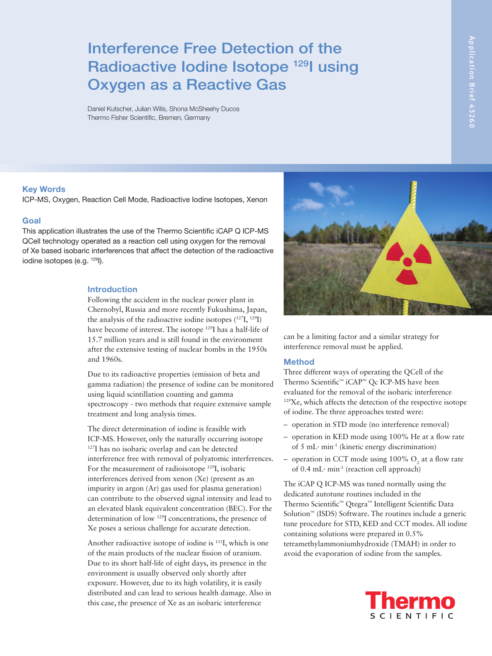# Interference Free Detection of the Radioactive Iodine Isotope <sup>129</sup>I using Oxygen as a Reactive Gas

Daniel Kutscher, Julian Wills, Shona McSheehy Ducos Thermo Fisher Scientific, Bremen, Germany

# Application Brief 43260 Application Brief 43260

# Key Words

ICP-MS, Oxygen, Reaction Cell Mode, Radioactive Iodine Isotopes, Xenon

#### Goal

This application illustrates the use of the Thermo Scientific iCAP Q ICP-MS QCell technology operated as a reaction cell using oxygen for the removal of Xe based isobaric interferences that affect the detection of the radioactive iodine isotopes (e.g. 129I).

#### Introduction

Following the accident in the nuclear power plant in Chernobyl, Russia and more recently Fukushima, Japan, the analysis of the radioactive iodine isotopes  $(127I, 129I)$ have become of interest. The isotope 129I has a half-life of 15.7 million years and is still found in the environment after the extensive testing of nuclear bombs in the 1950s and 1960s.

Due to its radioactive properties (emission of beta and gamma radiation) the presence of iodine can be monitored using liquid scintillation counting and gamma spectroscopy - two methods that require extensive sample treatment and long analysis times.

The direct determination of iodine is feasible with ICP-MS. However, only the naturally occurring isotope 127I has no isobaric overlap and can be detected interference free with removal of polyatomic interferences. For the measurement of radioisotope 129I, isobaric interferences derived from xenon (Xe) (present as an impurity in argon (Ar) gas used for plasma generation) can contribute to the observed signal intensity and lead to an elevated blank equivalent concentration (BEC). For the determination of low 129I concentrations, the presence of Xe poses a serious challenge for accurate detection.

Another radioactive isotope of iodine is 131I, which is one of the main products of the nuclear fission of uranium. Due to its short half-life of eight days, its presence in the environment is usually observed only shortly after exposure. However, due to its high volatility, it is easily distributed and can lead to serious health damage. Also in this case, the presence of Xe as an isobaric interference



can be a limiting factor and a similar strategy for interference removal must be applied.

# **Method**

Three different ways of operating the QCell of the Thermo Scientific™ iCAP™ Qc ICP-MS have been evaluated for the removal of the isobaric interference 129Xe, which affects the detection of the respective isotope of iodine. The three approaches tested were:

- operation in STD mode (no interference removal)
- operation in KED mode using 100% He at a flow rate of 5 mL∙ min-1 (kinetic energy discrimination)
- operation in CCT mode using  $100\%$  O<sub>2</sub> at a flow rate of 0.4 mL∙ min-1 (reaction cell approach)

The iCAP Q ICP-MS was tuned normally using the dedicated autotune routines included in the Thermo Scientific™ Qtegra™ Intelligent Scientific Data Solution™ (ISDS) Software. The routines include a generic tune procedure for STD, KED and CCT modes. All iodine containing solutions were prepared in 0.5% tetramethylammoniumhydroxide (TMAH) in order to avoid the evaporation of iodine from the samples.